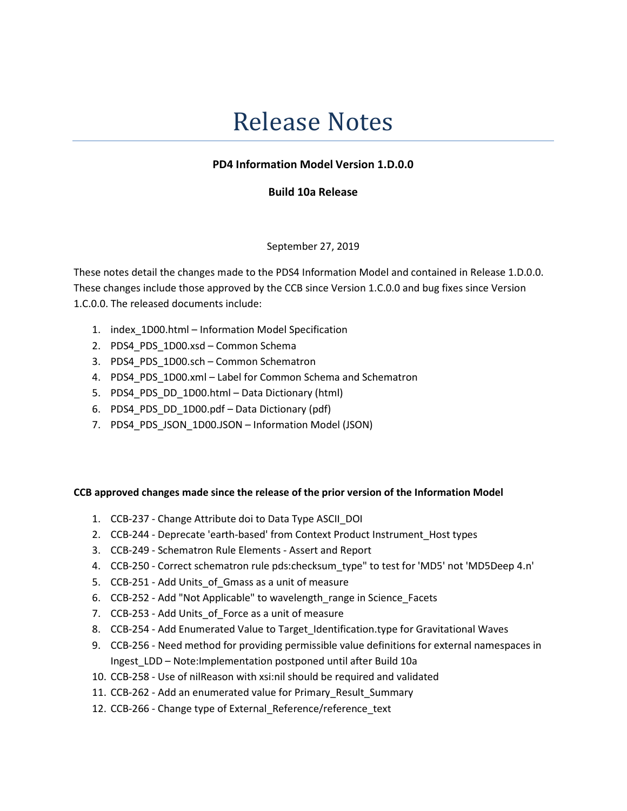# Release Notes

## PD4 Information Model Version 1.D.0.0

### Build 10a Release

#### September 27, 2019

These notes detail the changes made to the PDS4 Information Model and contained in Release 1.D.0.0. These changes include those approved by the CCB since Version 1.C.0.0 and bug fixes since Version 1.C.0.0. The released documents include:

- 1. index\_1D00.html Information Model Specification
- 2. PDS4\_PDS\_1D00.xsd Common Schema
- 3. PDS4 PDS 1D00.sch Common Schematron
- 4. PDS4\_PDS\_1D00.xml Label for Common Schema and Schematron
- 5. PDS4\_PDS\_DD\_1D00.html Data Dictionary (html)
- 6. PDS4 PDS DD 1D00.pdf Data Dictionary (pdf)
- 7. PDS4\_PDS\_JSON\_1D00.JSON Information Model (JSON)

#### CCB approved changes made since the release of the prior version of the Information Model

- 1. CCB-237 Change Attribute doi to Data Type ASCII\_DOI
- 2. CCB-244 Deprecate 'earth-based' from Context Product Instrument\_Host types
- 3. CCB-249 Schematron Rule Elements Assert and Report
- 4. CCB-250 Correct schematron rule pds:checksum\_type" to test for 'MD5' not 'MD5Deep 4.n'
- 5. CCB-251 Add Units of Gmass as a unit of measure
- 6. CCB-252 Add "Not Applicable" to wavelength\_range in Science\_Facets
- 7. CCB-253 Add Units\_of\_Force as a unit of measure
- 8. CCB-254 Add Enumerated Value to Target Identification.type for Gravitational Waves
- 9. CCB-256 Need method for providing permissible value definitions for external namespaces in Ingest\_LDD – Note:Implementation postponed until after Build 10a
- 10. CCB-258 Use of nilReason with xsi:nil should be required and validated
- 11. CCB-262 Add an enumerated value for Primary\_Result\_Summary
- 12. CCB-266 Change type of External\_Reference/reference\_text